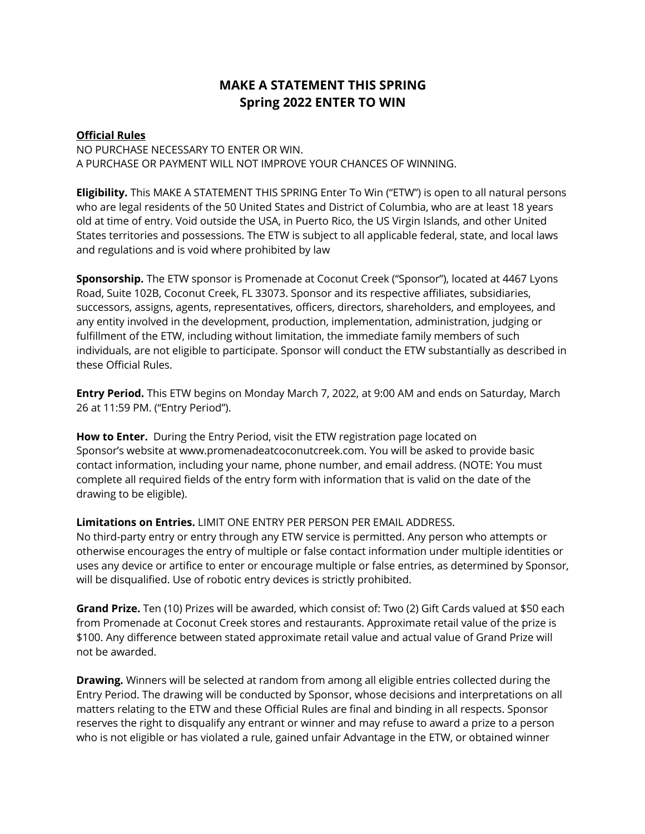## **MAKE A STATEMENT THIS SPRING Spring 2022 ENTER TO WIN**

## **Official Rules**

NO PURCHASE NECESSARY TO ENTER OR WIN. A PURCHASE OR PAYMENT WILL NOT IMPROVE YOUR CHANCES OF WINNING.

**Eligibility.** This MAKE A STATEMENT THIS SPRING Enter To Win ("ETW") is open to all natural persons who are legal residents of the 50 United States and District of Columbia, who are at least 18 years old at time of entry. Void outside the USA, in Puerto Rico, the US Virgin Islands, and other United States territories and possessions. The ETW is subject to all applicable federal, state, and local laws and regulations and is void where prohibited by law

**Sponsorship.** The ETW sponsor is Promenade at Coconut Creek ("Sponsor"), located at 4467 Lyons Road, Suite 102B, Coconut Creek, FL 33073. Sponsor and its respective affiliates, subsidiaries, successors, assigns, agents, representatives, officers, directors, shareholders, and employees, and any entity involved in the development, production, implementation, administration, judging or fulfillment of the ETW, including without limitation, the immediate family members of such individuals, are not eligible to participate. Sponsor will conduct the ETW substantially as described in these Official Rules.

**Entry Period.** This ETW begins on Monday March 7, 2022, at 9:00 AM and ends on Saturday, March 26 at 11:59 PM. ("Entry Period").

**How to Enter.** During the Entry Period, visit the ETW registration page located on Sponsor's website at www.promenadeatcoconutcreek.com. You will be asked to provide basic contact information, including your name, phone number, and email address. (NOTE: You must complete all required fields of the entry form with information that is valid on the date of the drawing to be eligible).

**Limitations on Entries.** LIMIT ONE ENTRY PER PERSON PER EMAIL ADDRESS.

No third-party entry or entry through any ETW service is permitted. Any person who attempts or otherwise encourages the entry of multiple or false contact information under multiple identities or uses any device or artifice to enter or encourage multiple or false entries, as determined by Sponsor, will be disqualified. Use of robotic entry devices is strictly prohibited.

**Grand Prize.** Ten (10) Prizes will be awarded, which consist of: Two (2) Gift Cards valued at \$50 each from Promenade at Coconut Creek stores and restaurants. Approximate retail value of the prize is \$100. Any difference between stated approximate retail value and actual value of Grand Prize will not be awarded.

**Drawing.** Winners will be selected at random from among all eligible entries collected during the Entry Period. The drawing will be conducted by Sponsor, whose decisions and interpretations on all matters relating to the ETW and these Official Rules are final and binding in all respects. Sponsor reserves the right to disqualify any entrant or winner and may refuse to award a prize to a person who is not eligible or has violated a rule, gained unfair Advantage in the ETW, or obtained winner